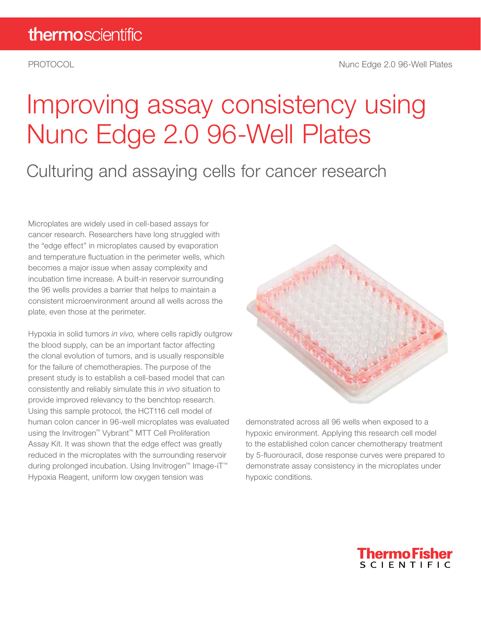# Improving assay consistency using Nunc Edge 2.0 96-Well Plates

### Culturing and assaying cells for cancer research

Microplates are widely used in cell-based assays for cancer research. Researchers have long struggled with the "edge effect" in microplates caused by evaporation and temperature fluctuation in the perimeter wells, which becomes a major issue when assay complexity and incubation time increase. A built-in reservoir surrounding the 96 wells provides a barrier that helps to maintain a consistent microenvironment around all wells across the plate, even those at the perimeter.

Hypoxia in solid tumors *in vivo,* where cells rapidly outgrow the blood supply, can be an important factor affecting the clonal evolution of tumors, and is usually responsible for the failure of chemotherapies. The purpose of the present study is to establish a cell-based model that can consistently and reliably simulate this *in vivo* situation to provide improved relevancy to the benchtop research. Using this sample protocol, the HCT116 cell model of human colon cancer in 96-well microplates was evaluated using the Invitrogen™ Vybrant™ MTT Cell Proliferation Assay Kit. It was shown that the edge effect was greatly reduced in the microplates with the surrounding reservoir during prolonged incubation. Using Invitrogen™ Image-iT™ Hypoxia Reagent, uniform low oxygen tension was



demonstrated across all 96 wells when exposed to a hypoxic environment. Applying this research cell model to the established colon cancer chemotherapy treatment by 5-fluorouracil, dose response curves were prepared to demonstrate assay consistency in the microplates under hypoxic conditions.

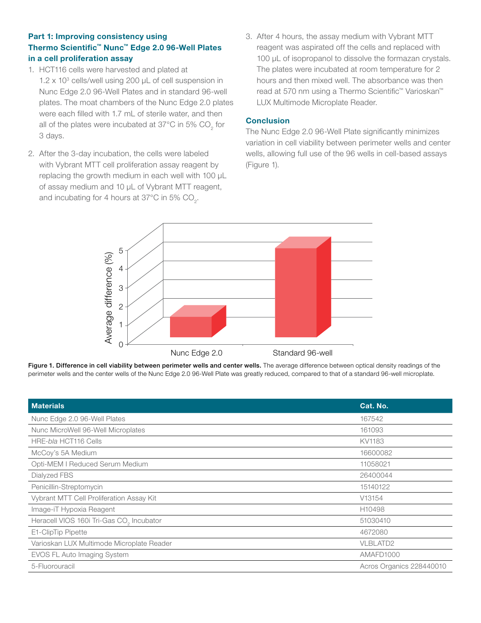#### Part 1: Improving consistency using Thermo Scientific™ Nunc™ Edge 2.0 96-Well Plates in a cell proliferation assay

- 1. HCT116 cells were harvested and plated at 1.2 x 10<sup>3</sup> cells/well using 200 µL of cell suspension in Nunc Edge 2.0 96-Well Plates and in standard 96-well plates. The moat chambers of the Nunc Edge 2.0 plates were each filled with 1.7 mL of sterile water, and then all of the plates were incubated at 37°C in 5% CO<sub>2</sub> for 3 days.
- 2. After the 3-day incubation, the cells were labeled with Vybrant MTT cell proliferation assay reagent by replacing the growth medium in each well with 100 µL of assay medium and 10 µL of Vybrant MTT reagent, and incubating for 4 hours at 37°C in 5% CO<sub>2</sub>.
- 3. After 4 hours, the assay medium with Vybrant MTT reagent was aspirated off the cells and replaced with 100 µL of isopropanol to dissolve the formazan crystals. The plates were incubated at room temperature for 2 hours and then mixed well. The absorbance was then read at 570 nm using a Thermo Scientific™ Varioskan™ LUX Multimode Microplate Reader.

#### **Conclusion**

The Nunc Edge 2.0 96-Well Plate significantly minimizes variation in cell viability between perimeter wells and center wells, allowing full use of the 96 wells in cell-based assays (Figure 1).



Figure 1. Difference in cell viability between perimeter wells and center wells. The average difference between optical density readings of the perimeter wells and the center wells of the Nunc Edge 2.0 96-Well Plate was greatly reduced, compared to that of a standard 96-well microplate.

| <b>Materials</b>                                     | Cat. No.                 |
|------------------------------------------------------|--------------------------|
| Nunc Edge 2.0 96-Well Plates                         | 167542                   |
| Nunc MicroWell 96-Well Microplates                   | 161093                   |
| HRE-bla HCT116 Cells                                 | KV1183                   |
| McCoy's 5A Medium                                    | 16600082                 |
| Opti-MEM I Reduced Serum Medium                      | 11058021                 |
| Dialyzed FBS                                         | 26400044                 |
| Penicillin-Streptomycin                              | 15140122                 |
| Vybrant MTT Cell Proliferation Assay Kit             | V13154                   |
| Image-iT Hypoxia Reagent                             | H10498                   |
| Heracell VIOS 160i Tri-Gas CO <sub>2</sub> Incubator | 51030410                 |
| E1-ClipTip Pipette                                   | 4672080                  |
| Varioskan LUX Multimode Microplate Reader            | <b>VLBLATD2</b>          |
| EVOS FL Auto Imaging System                          | AMAFD1000                |
| 5-Fluorouracil                                       | Acros Organics 228440010 |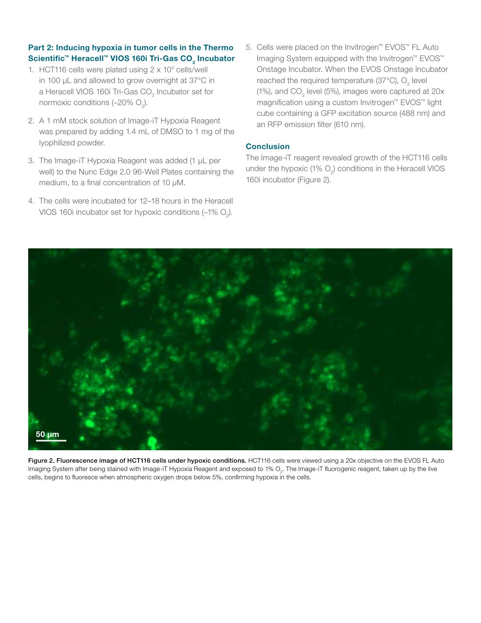#### Part 2: Inducing hypoxia in tumor cells in the Thermo Scientific™ Heracell™ VIOS 160i Tri-Gas CO $_2$  Incubator

- 1. HCT116 cells were plated using 2 x 104 cells/well in 100 µL and allowed to grow overnight at 37°C in a Heracell VIOS 160i Tri-Gas CO<sub>2</sub> Incubator set for normoxic conditions (~20%  $\mathrm{O}_2$ ).
- 2. A 1 mM stock solution of Image-iT Hypoxia Reagent was prepared by adding 1.4 mL of DMSO to 1 mg of the lyophilized powder.
- 3. The Image-iT Hypoxia Reagent was added (1 µL per well) to the Nunc Edge 2.0 96-Well Plates containing the medium, to a final concentration of 10 µM.
- 4. The cells were incubated for 12–18 hours in the Heracell VIOS 160i incubator set for hypoxic conditions (~1%  $\mathrm{O}_2$ ).

5. Cells were placed on the Invitrogen™ EVOS™ FL Auto Imaging System equipped with the Invitrogen™ EVOS™ Onstage Incubator. When the EVOS Onstage Incubator reached the required temperature (37°C),  $O_2$  level (1%), and CO<sub>2</sub> level (5%), images were captured at 20x magnification using a custom Invitrogen™ EVOS™ light cube containing a GFP excitation source (488 nm) and an RFP emission filter (610 nm).

#### **Conclusion**

The Image-iT reagent revealed growth of the HCT116 cells under the hypoxic (1%  $O_2$ ) conditions in the Heracell VIOS 160i incubator (Figure 2).



Figure 2. Fluorescence image of HCT116 cells under hypoxic conditions. HCT116 cells were viewed using a 20x objective on the EVOS FL Auto Imaging System after being stained with Image-iT Hypoxia Reagent and exposed to 1%  $\mathrm{O}_2$ . The Image-iT fluorogenic reagent, taken up by the live cells, begins to fluoresce when atmospheric oxygen drops below 5%, confirming hypoxia in the cells.